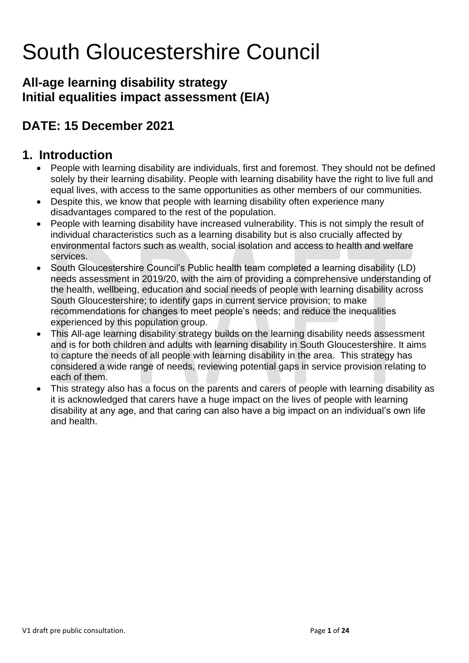# South Gloucestershire Council

# **All-age learning disability strategy Initial equalities impact assessment (EIA)**

# **DATE: 15 December 2021**

# **1. Introduction**

- People with learning disability are individuals, first and foremost. They should not be defined solely by their learning disability. People with learning disability have the right to live full and equal lives, with access to the same opportunities as other members of our communities.
- Despite this, we know that people with learning disability often experience many disadvantages compared to the rest of the population.
- People with learning disability have increased vulnerability. This is not simply the result of individual characteristics such as a learning disability but is also crucially affected by environmental factors such as wealth, social isolation and access to health and welfare services.
- South Gloucestershire Council's Public health team completed a learning disability (LD) needs assessment in 2019/20, with the aim of providing a comprehensive understanding of the health, wellbeing, education and social needs of people with learning disability across South Gloucestershire; to identify gaps in current service provision; to make recommendations for changes to meet people's needs; and reduce the inequalities experienced by this population group.
- This All-age learning disability strategy builds on the learning disability needs assessment and is for both children and adults with learning disability in South Gloucestershire. It aims to capture the needs of all people with learning disability in the area. This strategy has considered a wide range of needs, reviewing potential gaps in service provision relating to each of them.
- This strategy also has a focus on the parents and carers of people with learning disability as it is acknowledged that carers have a huge impact on the lives of people with learning disability at any age, and that caring can also have a big impact on an individual's own life and health.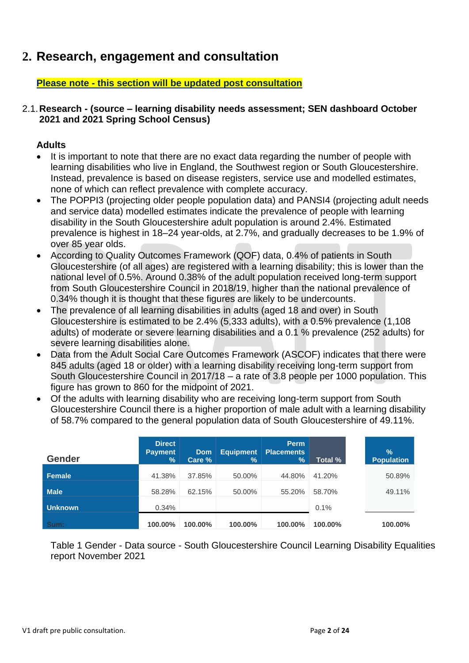# **2. Research, engagement and consultation**

**Please note - this section will be updated post consultation**

#### 2.1.**Research - (source – learning disability needs assessment; SEN dashboard October 2021 and 2021 Spring School Census)**

# **Adults**

- It is important to note that there are no exact data regarding the number of people with learning disabilities who live in England, the Southwest region or South Gloucestershire. Instead, prevalence is based on disease registers, service use and modelled estimates, none of which can reflect prevalence with complete accuracy.
- The POPPI3 (projecting older people population data) and PANSI4 (projecting adult needs and service data) modelled estimates indicate the prevalence of people with learning disability in the South Gloucestershire adult population is around 2.4%. Estimated prevalence is highest in 18–24 year-olds, at 2.7%, and gradually decreases to be 1.9% of over 85 year olds.
- According to Quality Outcomes Framework (QOF) data, 0.4% of patients in South Gloucestershire (of all ages) are registered with a learning disability; this is lower than the national level of 0.5%. Around 0.38% of the adult population received long-term support from South Gloucestershire Council in 2018/19, higher than the national prevalence of 0.34% though it is thought that these figures are likely to be undercounts.
- The prevalence of all learning disabilities in adults (aged 18 and over) in South Gloucestershire is estimated to be 2.4% (5,333 adults), with a 0.5% prevalence (1,108 adults) of moderate or severe learning disabilities and a 0.1 % prevalence (252 adults) for severe learning disabilities alone.
- Data from the Adult Social Care Outcomes Framework (ASCOF) indicates that there were 845 adults (aged 18 or older) with a learning disability receiving long-term support from South Gloucestershire Council in 2017/18 – a rate of 3.8 people per 1000 population. This figure has grown to 860 for the midpoint of 2021.
- Of the adults with learning disability who are receiving long-term support from South Gloucestershire Council there is a higher proportion of male adult with a learning disability of 58.7% compared to the general population data of South Gloucestershire of 49.11%.

| <b>Gender</b>  | <b>Direct</b><br><b>Payment</b><br>% | <b>Dom</b><br>Care % | <b>Equipment</b><br>$\frac{9}{6}$ | <b>Perm</b><br><b>Placements</b><br>$\%$ | <b>Total %</b> | $\frac{1}{2}$<br><b>Population</b> |
|----------------|--------------------------------------|----------------------|-----------------------------------|------------------------------------------|----------------|------------------------------------|
| <b>Female</b>  | 41.38%                               | 37.85%               | 50.00%                            | 44.80%                                   | 41.20%         | 50.89%                             |
| <b>Male</b>    | 58.28%                               | 62.15%               | 50.00%                            | 55.20%                                   | 58.70%         | 49.11%                             |
| <b>Unknown</b> | 0.34%                                |                      |                                   |                                          | 0.1%           |                                    |
| Sum:           | 100.00%                              | 100.00%              | 100.00%                           | 100.00%                                  | 100.00%        | 100.00%                            |

Table 1 Gender - Data source - South Gloucestershire Council Learning Disability Equalities report November 2021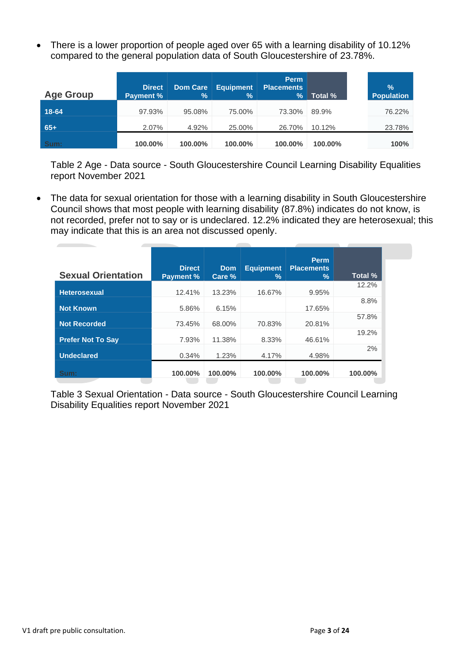• There is a lower proportion of people aged over 65 with a learning disability of 10.12% compared to the general population data of South Gloucestershire of 23.78%.

| <b>Age Group</b> | <b>Direct</b><br><b>Payment %</b> | <b>Dom Care</b><br>$\frac{9}{6}$ | <b>Equipment</b><br>$\frac{9}{6}$ | <b>Perm</b><br><b>Placements</b><br>$\frac{9}{6}$ | Total % | $\frac{9}{6}$<br><b>Population</b> |
|------------------|-----------------------------------|----------------------------------|-----------------------------------|---------------------------------------------------|---------|------------------------------------|
| $18-64$          | 97.93%                            | 95.08%                           | 75.00%                            | 73.30%                                            | 89.9%   | 76.22%                             |
| $65+$            | 2.07%                             | 4.92%                            | 25.00%                            | 26.70%                                            | 10.12%  | 23.78%                             |
| Sum:             | 100.00%                           | 100.00%                          | 100.00%                           | 100.00%                                           | 100.00% | 100%                               |

Table 2 Age - Data source - South Gloucestershire Council Learning Disability Equalities report November 2021

• The data for sexual orientation for those with a learning disability in South Gloucestershire Council shows that most people with learning disability (87.8%) indicates do not know, is not recorded, prefer not to say or is undeclared. 12.2% indicated they are heterosexual; this may indicate that this is an area not discussed openly.

| <b>Sexual Orientation</b> | <b>Direct</b><br><b>Payment %</b> | <b>Dom</b><br>Care % | <b>Equipment</b><br>$\%$ | <b>Perm</b><br><b>Placements</b><br>$\frac{9}{6}$ | Total % |
|---------------------------|-----------------------------------|----------------------|--------------------------|---------------------------------------------------|---------|
| <b>Heterosexual</b>       | 12.41%                            | 13.23%               | 16.67%                   | 9.95%                                             | 12.2%   |
| <b>Not Known</b>          | 5.86%                             | 6.15%                |                          | 17.65%                                            | 8.8%    |
| <b>Not Recorded</b>       | 73.45%                            | 68.00%               | 70.83%                   | 20.81%                                            | 57.8%   |
| <b>Prefer Not To Say</b>  | 7.93%                             | 11.38%               | 8.33%                    | 46.61%                                            | 19.2%   |
| <b>Undeclared</b>         | 0.34%                             | 1.23%                | 4.17%                    | 4.98%                                             | 2%      |
| Sum:                      | 100.00%                           | 100.00%              | 100.00%                  | 100.00%                                           | 100.00% |

Table 3 Sexual Orientation - Data source - South Gloucestershire Council Learning Disability Equalities report November 2021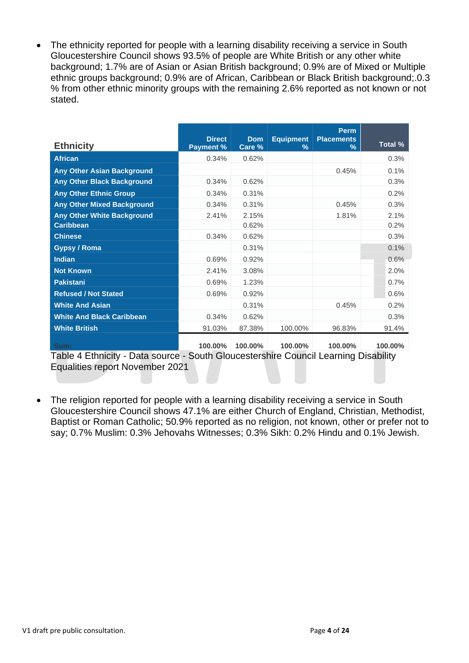• The ethnicity reported for people with a learning disability receiving a service in South Gloucestershire Council shows 93.5% of people are White British or any other white background; 1.7% are of Asian or Asian British background; 0.9% are of Mixed or Multiple ethnic groups background; 0.9% are of African, Caribbean or Black British background;.0.3 % from other ethnic minority groups with the remaining 2.6% reported as not known or not stated.

| <b>Ethnicity</b>                                                                    | <b>Direct</b><br><b>Payment %</b> | <b>Dom</b><br>Care % | <b>Equipment</b><br>$\frac{9}{6}$ | <b>Perm</b><br><b>Placements</b><br>$\frac{9}{6}$ | Total % |
|-------------------------------------------------------------------------------------|-----------------------------------|----------------------|-----------------------------------|---------------------------------------------------|---------|
| <b>African</b>                                                                      | 0.34%                             | 0.62%                |                                   |                                                   | 0.3%    |
| <b>Any Other Asian Background</b>                                                   |                                   |                      |                                   | 0.45%                                             | 0.1%    |
| <b>Any Other Black Background</b>                                                   | 0.34%                             | 0.62%                |                                   |                                                   | 0.3%    |
| <b>Any Other Ethnic Group</b>                                                       | 0.34%                             | 0.31%                |                                   |                                                   | 0.2%    |
| <b>Any Other Mixed Background</b>                                                   | 0.34%                             | 0.31%                |                                   | 0.45%                                             | 0.3%    |
| <b>Any Other White Background</b>                                                   | 2.41%                             | 2.15%                |                                   | 1.81%                                             | 2.1%    |
| <b>Caribbean</b>                                                                    |                                   | 0.62%                |                                   |                                                   | 0.2%    |
| <b>Chinese</b>                                                                      | 0.34%                             | 0.62%                |                                   |                                                   | 0.3%    |
| <b>Gypsy / Roma</b>                                                                 |                                   | 0.31%                |                                   |                                                   | 0.1%    |
| <b>Indian</b>                                                                       | 0.69%                             | 0.92%                |                                   |                                                   | 0.6%    |
| <b>Not Known</b>                                                                    | 2.41%                             | 3.08%                |                                   |                                                   | 2.0%    |
| <b>Pakistani</b>                                                                    | 0.69%                             | 1.23%                |                                   |                                                   | 0.7%    |
| <b>Refused / Not Stated</b>                                                         | 0.69%                             | 0.92%                |                                   |                                                   | 0.6%    |
| <b>White And Asian</b>                                                              |                                   | 0.31%                |                                   | 0.45%                                             | 0.2%    |
| <b>White And Black Caribbean</b>                                                    | 0.34%                             | 0.62%                |                                   |                                                   | 0.3%    |
| <b>White British</b>                                                                | 91.03%                            | 87.38%               | 100.00%                           | 96.83%                                            | 91.4%   |
| Sum:                                                                                | 100.00%                           | 100.00%              | 100.00%                           | 100.00%                                           | 100.00% |
| Table 4 Ethnicity - Data source - South Gloucestershire Council Learning Disability |                                   |                      |                                   |                                                   |         |
| <b>Equalities report November 2021</b>                                              |                                   |                      |                                   |                                                   |         |

The religion reported for people with a learning disability receiving a service in South Gloucestershire Council shows 47.1% are either Church of England, Christian, Methodist, Baptist or Roman Catholic; 50.9% reported as no religion, not known, other or prefer not to say; 0.7% Muslim: 0.3% Jehovahs Witnesses; 0.3% Sikh: 0.2% Hindu and 0.1% Jewish.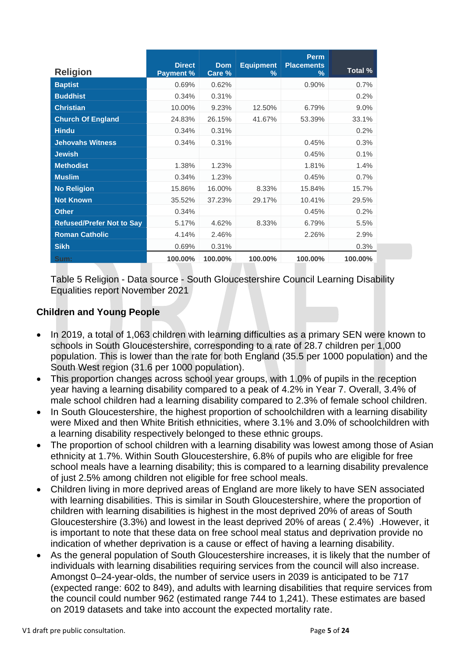|                                  | <b>Direct</b>    | <b>Dom</b> | <b>Equipment</b> | Perm<br><b>Placements</b> |         |
|----------------------------------|------------------|------------|------------------|---------------------------|---------|
| <b>Religion</b>                  | <b>Payment %</b> | Care %     | $\frac{9}{6}$    | $\%$                      | Total % |
| <b>Baptist</b>                   | 0.69%            | 0.62%      |                  | 0.90%                     | 0.7%    |
| <b>Buddhist</b>                  | 0.34%            | 0.31%      |                  |                           | 0.2%    |
| <b>Christian</b>                 | 10.00%           | 9.23%      | 12.50%           | 6.79%                     | 9.0%    |
| <b>Church Of England</b>         | 24.83%           | 26.15%     | 41.67%           | 53.39%                    | 33.1%   |
| <b>Hindu</b>                     | 0.34%            | 0.31%      |                  |                           | 0.2%    |
| <b>Jehovahs Witness</b>          | 0.34%            | 0.31%      |                  | 0.45%                     | 0.3%    |
| <b>Jewish</b>                    |                  |            |                  | 0.45%                     | 0.1%    |
| <b>Methodist</b>                 | 1.38%            | 1.23%      |                  | 1.81%                     | 1.4%    |
| <b>Muslim</b>                    | 0.34%            | 1.23%      |                  | 0.45%                     | 0.7%    |
| <b>No Religion</b>               | 15.86%           | 16.00%     | 8.33%            | 15.84%                    | 15.7%   |
| <b>Not Known</b>                 | 35.52%           | 37.23%     | 29.17%           | 10.41%                    | 29.5%   |
| <b>Other</b>                     | 0.34%            |            |                  | 0.45%                     | 0.2%    |
| <b>Refused/Prefer Not to Say</b> | 5.17%            | 4.62%      | 8.33%            | 6.79%                     | 5.5%    |
| <b>Roman Catholic</b>            | 4.14%            | 2.46%      |                  | 2.26%                     | 2.9%    |
| <b>Sikh</b>                      | 0.69%            | 0.31%      |                  |                           | 0.3%    |
| Sum:                             | 100.00%          | 100.00%    | 100.00%          | 100.00%                   | 100.00% |

Table 5 Religion - Data source - South Gloucestershire Council Learning Disability Equalities report November 2021

# **Children and Young People**

- In 2019, a total of 1,063 children with learning difficulties as a primary SEN were known to schools in South Gloucestershire, corresponding to a rate of 28.7 children per 1,000 population. This is lower than the rate for both England (35.5 per 1000 population) and the South West region (31.6 per 1000 population).
- This proportion changes across school year groups, with 1.0% of pupils in the reception year having a learning disability compared to a peak of 4.2% in Year 7. Overall, 3.4% of male school children had a learning disability compared to 2.3% of female school children.
- In South Gloucestershire, the highest proportion of schoolchildren with a learning disability were Mixed and then White British ethnicities, where 3.1% and 3.0% of schoolchildren with a learning disability respectively belonged to these ethnic groups.
- The proportion of school children with a learning disability was lowest among those of Asian ethnicity at 1.7%. Within South Gloucestershire, 6.8% of pupils who are eligible for free school meals have a learning disability; this is compared to a learning disability prevalence of just 2.5% among children not eligible for free school meals.
- Children living in more deprived areas of England are more likely to have SEN associated with learning disabilities. This is similar in South Gloucestershire, where the proportion of children with learning disabilities is highest in the most deprived 20% of areas of South Gloucestershire (3.3%) and lowest in the least deprived 20% of areas ( 2.4%) .However, it is important to note that these data on free school meal status and deprivation provide no indication of whether deprivation is a cause or effect of having a learning disability.
- As the general population of South Gloucestershire increases, it is likely that the number of individuals with learning disabilities requiring services from the council will also increase. Amongst 0–24-year-olds, the number of service users in 2039 is anticipated to be 717 (expected range: 602 to 849), and adults with learning disabilities that require services from the council could number 962 (estimated range 744 to 1,241). These estimates are based on 2019 datasets and take into account the expected mortality rate.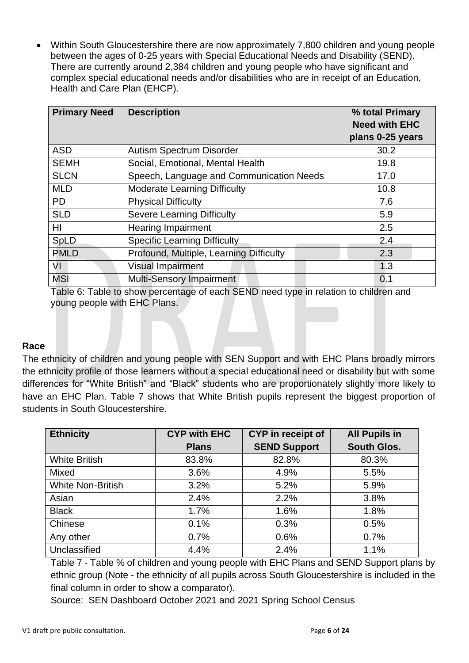• Within South Gloucestershire there are now approximately 7,800 children and young people between the ages of 0-25 years with Special Educational Needs and Disability (SEND). There are currently around 2,384 children and young people who have significant and complex special educational needs and/or disabilities who are in receipt of an Education, Health and Care Plan (EHCP).

| <b>Primary Need</b> | <b>Description</b>                       | % total Primary<br><b>Need with EHC</b> |
|---------------------|------------------------------------------|-----------------------------------------|
|                     |                                          | plans 0-25 years                        |
| <b>ASD</b>          | <b>Autism Spectrum Disorder</b>          | 30.2                                    |
| <b>SEMH</b>         | Social, Emotional, Mental Health         | 19.8                                    |
| <b>SLCN</b>         | Speech, Language and Communication Needs | 17.0                                    |
| <b>MLD</b>          | <b>Moderate Learning Difficulty</b>      | 10.8                                    |
| <b>PD</b>           | <b>Physical Difficulty</b>               | 7.6                                     |
| <b>SLD</b>          | <b>Severe Learning Difficulty</b>        | 5.9                                     |
| HI                  | <b>Hearing Impairment</b>                | 2.5                                     |
| SpLD                | <b>Specific Learning Difficulty</b>      | 2.4                                     |
| <b>PMLD</b>         | Profound, Multiple, Learning Difficulty  | 2.3                                     |
| VI                  | <b>Visual Impairment</b>                 | 1.3                                     |
| <b>MSI</b>          | <b>Multi-Sensory Impairment</b>          | 0.1                                     |

Table 6: Table to show percentage of each SEND need type in relation to children and young people with EHC Plans.

#### **Race**

The ethnicity of children and young people with SEN Support and with EHC Plans broadly mirrors the ethnicity profile of those learners without a special educational need or disability but with some differences for "White British" and "Black" students who are proportionately slightly more likely to have an EHC Plan. Table 7 shows that White British pupils represent the biggest proportion of students in South Gloucestershire.

| <b>Ethnicity</b>         | <b>CYP with EHC</b> | <b>CYP</b> in receipt of | <b>All Pupils in</b> |
|--------------------------|---------------------|--------------------------|----------------------|
|                          | <b>Plans</b>        | <b>SEND Support</b>      | <b>South Glos.</b>   |
| <b>White British</b>     | 83.8%               | 82.8%                    | 80.3%                |
| Mixed                    | 3.6%                | 4.9%                     | 5.5%                 |
| <b>White Non-British</b> | 3.2%                | 5.2%                     | 5.9%                 |
| Asian                    | 2.4%                | 2.2%                     | 3.8%                 |
| <b>Black</b>             | 1.7%                | 1.6%                     | 1.8%                 |
| Chinese                  | 0.1%                | 0.3%                     | 0.5%                 |
| Any other                | 0.7%                | 0.6%                     | 0.7%                 |
| Unclassified             | 4.4%                | 2.4%                     | 1.1%                 |

Table 7 - Table % of children and young people with EHC Plans and SEND Support plans by ethnic group (Note - the ethnicity of all pupils across South Gloucestershire is included in the final column in order to show a comparator).

Source: SEN Dashboard October 2021 and 2021 Spring School Census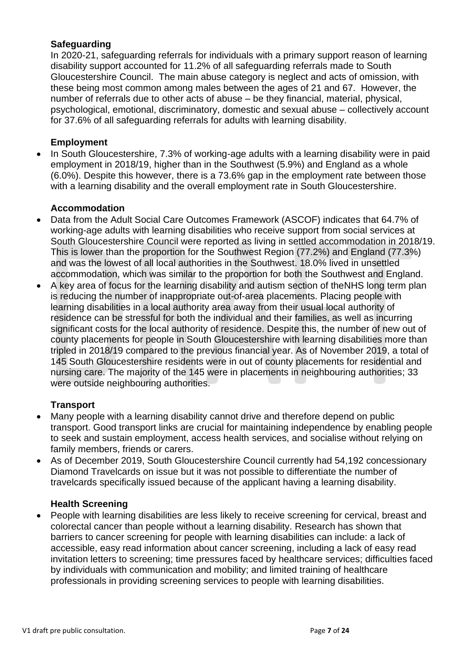# **Safeguarding**

In 2020-21, safeguarding referrals for individuals with a primary support reason of learning disability support accounted for 11.2% of all safeguarding referrals made to South Gloucestershire Council. The main abuse category is neglect and acts of omission, with these being most common among males between the ages of 21 and 67. However, the number of referrals due to other acts of abuse – be they financial, material, physical, psychological, emotional, discriminatory, domestic and sexual abuse – collectively account for 37.6% of all safeguarding referrals for adults with learning disability.

## **Employment**

• In South Gloucestershire, 7.3% of working-age adults with a learning disability were in paid employment in 2018/19, higher than in the Southwest (5.9%) and England as a whole (6.0%). Despite this however, there is a 73.6% gap in the employment rate between those with a learning disability and the overall employment rate in South Gloucestershire.

## **Accommodation**

- Data from the Adult Social Care Outcomes Framework (ASCOF) indicates that 64.7% of working-age adults with learning disabilities who receive support from social services at South Gloucestershire Council were reported as living in settled accommodation in 2018/19. This is lower than the proportion for the Southwest Region (77.2%) and England (77.3%) and was the lowest of all local authorities in the Southwest. 18.0% lived in unsettled accommodation, which was similar to the proportion for both the Southwest and England.
- A key area of focus for the learning disability and autism section of theNHS long term plan is reducing the number of inappropriate out-of-area placements. Placing people with learning disabilities in a local authority area away from their usual local authority of residence can be stressful for both the individual and their families, as well as incurring significant costs for the local authority of residence. Despite this, the number of new out of county placements for people in South Gloucestershire with learning disabilities more than tripled in 2018/19 compared to the previous financial year. As of November 2019, a total of 145 South Gloucestershire residents were in out of county placements for residential and nursing care. The majority of the 145 were in placements in neighbouring authorities; 33 were outside neighbouring authorities.

# **Transport**

- Many people with a learning disability cannot drive and therefore depend on public transport. Good transport links are crucial for maintaining independence by enabling people to seek and sustain employment, access health services, and socialise without relying on family members, friends or carers.
- As of December 2019, South Gloucestershire Council currently had 54,192 concessionary Diamond Travelcards on issue but it was not possible to differentiate the number of travelcards specifically issued because of the applicant having a learning disability.

# **Health Screening**

• People with learning disabilities are less likely to receive screening for cervical, breast and colorectal cancer than people without a learning disability. Research has shown that barriers to cancer screening for people with learning disabilities can include: a lack of accessible, easy read information about cancer screening, including a lack of easy read invitation letters to screening; time pressures faced by healthcare services; difficulties faced by individuals with communication and mobility; and limited training of healthcare professionals in providing screening services to people with learning disabilities.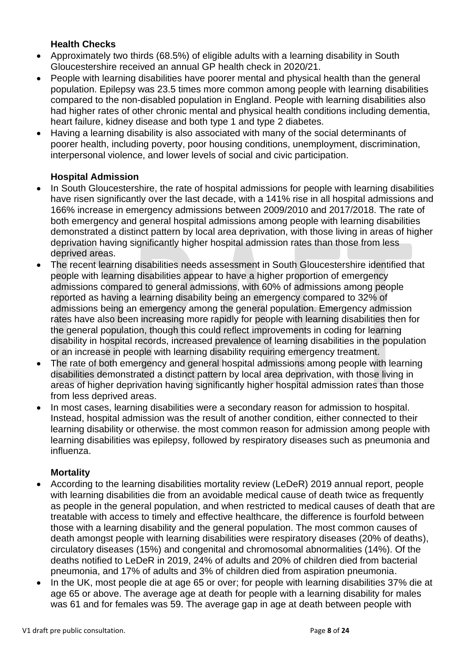# **Health Checks**

- Approximately two thirds (68.5%) of eligible adults with a learning disability in South Gloucestershire received an annual GP health check in 2020/21.
- People with learning disabilities have poorer mental and physical health than the general population. Epilepsy was 23.5 times more common among people with learning disabilities compared to the non-disabled population in England. People with learning disabilities also had higher rates of other chronic mental and physical health conditions including dementia, heart failure, kidney disease and both type 1 and type 2 diabetes.
- Having a learning disability is also associated with many of the social determinants of poorer health, including poverty, poor housing conditions, unemployment, discrimination, interpersonal violence, and lower levels of social and civic participation.

# **Hospital Admission**

- In South Gloucestershire, the rate of hospital admissions for people with learning disabilities have risen significantly over the last decade, with a 141% rise in all hospital admissions and 166% increase in emergency admissions between 2009/2010 and 2017/2018. The rate of both emergency and general hospital admissions among people with learning disabilities demonstrated a distinct pattern by local area deprivation, with those living in areas of higher deprivation having significantly higher hospital admission rates than those from less deprived areas.
- The recent learning disabilities needs assessment in South Gloucestershire identified that people with learning disabilities appear to have a higher proportion of emergency admissions compared to general admissions, with 60% of admissions among people reported as having a learning disability being an emergency compared to 32% of admissions being an emergency among the general population. Emergency admission rates have also been increasing more rapidly for people with learning disabilities then for the general population, though this could reflect improvements in coding for learning disability in hospital records, increased prevalence of learning disabilities in the population or an increase in people with learning disability requiring emergency treatment.
- The rate of both emergency and general hospital admissions among people with learning disabilities demonstrated a distinct pattern by local area deprivation, with those living in areas of higher deprivation having significantly higher hospital admission rates than those from less deprived areas.
- In most cases, learning disabilities were a secondary reason for admission to hospital. Instead, hospital admission was the result of another condition, either connected to their learning disability or otherwise. the most common reason for admission among people with learning disabilities was epilepsy, followed by respiratory diseases such as pneumonia and influenza.

# **Mortality**

- According to the learning disabilities mortality review (LeDeR) 2019 annual report, people with learning disabilities die from an avoidable medical cause of death twice as frequently as people in the general population, and when restricted to medical causes of death that are treatable with access to timely and effective healthcare, the difference is fourfold between those with a learning disability and the general population. The most common causes of death amongst people with learning disabilities were respiratory diseases (20% of deaths), circulatory diseases (15%) and congenital and chromosomal abnormalities (14%). Of the deaths notified to LeDeR in 2019, 24% of adults and 20% of children died from bacterial pneumonia, and 17% of adults and 3% of children died from aspiration pneumonia.
- In the UK, most people die at age 65 or over; for people with learning disabilities 37% die at age 65 or above. The average age at death for people with a learning disability for males was 61 and for females was 59. The average gap in age at death between people with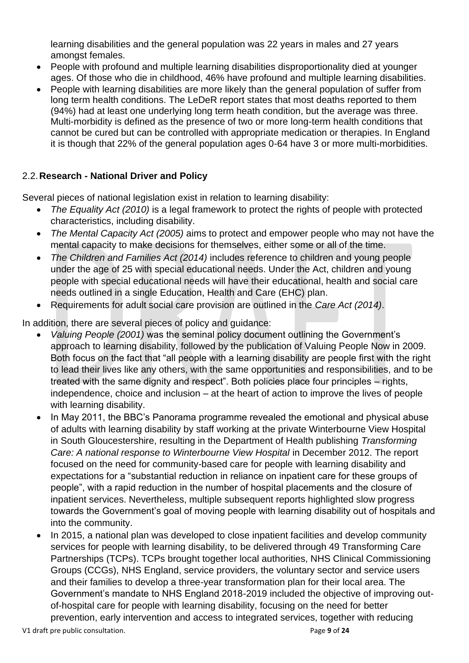learning disabilities and the general population was 22 years in males and 27 years amongst females.

- People with profound and multiple learning disabilities disproportionality died at younger ages. Of those who die in childhood, 46% have profound and multiple learning disabilities.
- People with learning disabilities are more likely than the general population of suffer from long term health conditions. The LeDeR report states that most deaths reported to them (94%) had at least one underlying long term heath condition, but the average was three. Multi-morbidity is defined as the presence of two or more long-term health conditions that cannot be cured but can be controlled with appropriate medication or therapies. In England it is though that 22% of the general population ages 0-64 have 3 or more multi-morbidities.

# 2.2.**Research - National Driver and Policy**

Several pieces of national legislation exist in relation to learning disability:

- *The Equality Act (2010)* is a legal framework to protect the rights of people with protected characteristics, including disability.
- *The Mental Capacity Act (2005)* aims to protect and empower people who may not have the mental capacity to make decisions for themselves, either some or all of the time.
- *The Children and Families Act (2014)* includes reference to children and young people under the age of 25 with special educational needs. Under the Act, children and young people with special educational needs will have their educational, health and social care needs outlined in a single Education, Health and Care (EHC) plan.
- Requirements for adult social care provision are outlined in the *Care Act (2014)*.

In addition, there are several pieces of policy and guidance:

- *Valuing People (2001)* was the seminal policy document outlining the Government's approach to learning disability, followed by the publication of Valuing People Now in 2009. Both focus on the fact that "all people with a learning disability are people first with the right to lead their lives like any others, with the same opportunities and responsibilities, and to be treated with the same dignity and respect". Both policies place four principles – rights, independence, choice and inclusion – at the heart of action to improve the lives of people with learning disability.
- In May 2011, the BBC's Panorama programme revealed the emotional and physical abuse of adults with learning disability by staff working at the private Winterbourne View Hospital in South Gloucestershire, resulting in the Department of Health publishing *Transforming Care: A national response to Winterbourne View Hospital* in December 2012. The report focused on the need for community-based care for people with learning disability and expectations for a "substantial reduction in reliance on inpatient care for these groups of people", with a rapid reduction in the number of hospital placements and the closure of inpatient services. Nevertheless, multiple subsequent reports highlighted slow progress towards the Government's goal of moving people with learning disability out of hospitals and into the community.
- In 2015, a national plan was developed to close inpatient facilities and develop community services for people with learning disability, to be delivered through 49 Transforming Care Partnerships (TCPs). TCPs brought together local authorities, NHS Clinical Commissioning Groups (CCGs), NHS England, service providers, the voluntary sector and service users and their families to develop a three-year transformation plan for their local area. The Government's mandate to NHS England 2018-2019 included the objective of improving outof-hospital care for people with learning disability, focusing on the need for better prevention, early intervention and access to integrated services, together with reducing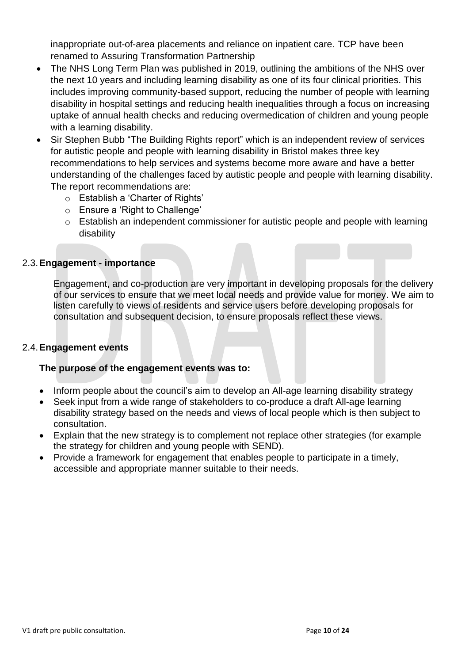inappropriate out-of-area placements and reliance on inpatient care. TCP have been renamed to Assuring Transformation Partnership

- The NHS Long Term Plan was published in 2019, outlining the ambitions of the NHS over the next 10 years and including learning disability as one of its four clinical priorities. This includes improving community-based support, reducing the number of people with learning disability in hospital settings and reducing health inequalities through a focus on increasing uptake of annual health checks and reducing overmedication of children and young people with a learning disability.
- Sir Stephen Bubb "The Building Rights report" which is an independent review of services for autistic people and people with learning disability in Bristol makes three key recommendations to help services and systems become more aware and have a better understanding of the challenges faced by autistic people and people with learning disability. The report recommendations are:
	- o Establish a 'Charter of Rights'
	- o Ensure a 'Right to Challenge'
	- o Establish an independent commissioner for autistic people and people with learning disability

## 2.3.**Engagement - importance**

Engagement, and co-production are very important in developing proposals for the delivery of our services to ensure that we meet local needs and provide value for money. We aim to listen carefully to views of residents and service users before developing proposals for consultation and subsequent decision, to ensure proposals reflect these views.

#### 2.4.**Engagement events**

#### **The purpose of the engagement events was to:**

- Inform people about the council's aim to develop an All-age learning disability strategy
- Seek input from a wide range of stakeholders to co-produce a draft All-age learning disability strategy based on the needs and views of local people which is then subject to consultation.
- Explain that the new strategy is to complement not replace other strategies (for example the strategy for children and young people with SEND).
- Provide a framework for engagement that enables people to participate in a timely, accessible and appropriate manner suitable to their needs.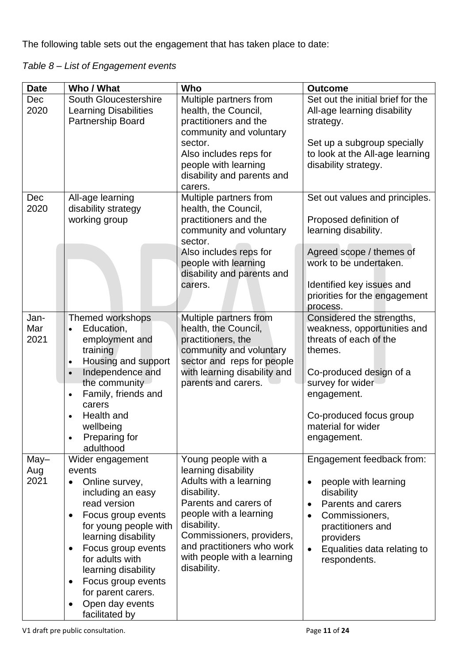The following table sets out the engagement that has taken place to date:

*Table 8 – List of Engagement events*

| <b>Date</b>         | Who / What                                                                                                                                                                                                                                                                                                                                                   | Who                                                                                                                                                                                                                                                            | <b>Outcome</b>                                                                                                                                                                                                                               |
|---------------------|--------------------------------------------------------------------------------------------------------------------------------------------------------------------------------------------------------------------------------------------------------------------------------------------------------------------------------------------------------------|----------------------------------------------------------------------------------------------------------------------------------------------------------------------------------------------------------------------------------------------------------------|----------------------------------------------------------------------------------------------------------------------------------------------------------------------------------------------------------------------------------------------|
| <b>Dec</b><br>2020  | South Gloucestershire<br><b>Learning Disabilities</b><br><b>Partnership Board</b>                                                                                                                                                                                                                                                                            | Multiple partners from<br>health, the Council,<br>practitioners and the<br>community and voluntary                                                                                                                                                             | Set out the initial brief for the<br>All-age learning disability<br>strategy.                                                                                                                                                                |
|                     |                                                                                                                                                                                                                                                                                                                                                              | sector.<br>Also includes reps for<br>people with learning<br>disability and parents and<br>carers.                                                                                                                                                             | Set up a subgroup specially<br>to look at the All-age learning<br>disability strategy.                                                                                                                                                       |
| <b>Dec</b><br>2020  | All-age learning<br>disability strategy<br>working group                                                                                                                                                                                                                                                                                                     | Multiple partners from<br>health, the Council,<br>practitioners and the<br>community and voluntary<br>sector.                                                                                                                                                  | Set out values and principles.<br>Proposed definition of<br>learning disability.                                                                                                                                                             |
|                     |                                                                                                                                                                                                                                                                                                                                                              | Also includes reps for<br>people with learning<br>disability and parents and<br>carers.                                                                                                                                                                        | Agreed scope / themes of<br>work to be undertaken.<br>Identified key issues and<br>priorities for the engagement<br>process.                                                                                                                 |
| Jan-<br>Mar<br>2021 | Themed workshops<br>Education,<br>$\bullet$<br>employment and<br>training<br>Housing and support<br>$\bullet$<br>Independence and<br>$\bullet$<br>the community<br>Family, friends and<br>$\bullet$<br>carers<br>Health and<br>wellbeing<br>Preparing for<br>adulthood                                                                                       | Multiple partners from<br>health, the Council,<br>practitioners, the<br>community and voluntary<br>sector and reps for people<br>with learning disability and<br>parents and carers.                                                                           | Considered the strengths,<br>weakness, opportunities and<br>threats of each of the<br>themes.<br>Co-produced design of a<br>survey for wider<br>engagement.<br>Co-produced focus group<br>material for wider<br>engagement.                  |
| May-<br>Aug<br>2021 | Wider engagement<br>events<br>Online survey,<br>$\bullet$<br>including an easy<br>read version<br>Focus group events<br>$\bullet$<br>for young people with<br>learning disability<br>Focus group events<br>$\bullet$<br>for adults with<br>learning disability<br>Focus group events<br>$\bullet$<br>for parent carers.<br>Open day events<br>facilitated by | Young people with a<br>learning disability<br>Adults with a learning<br>disability.<br>Parents and carers of<br>people with a learning<br>disability.<br>Commissioners, providers,<br>and practitioners who work<br>with people with a learning<br>disability. | Engagement feedback from:<br>people with learning<br>$\bullet$<br>disability<br>Parents and carers<br>$\bullet$<br>Commissioners,<br>$\bullet$<br>practitioners and<br>providers<br>Equalities data relating to<br>$\bullet$<br>respondents. |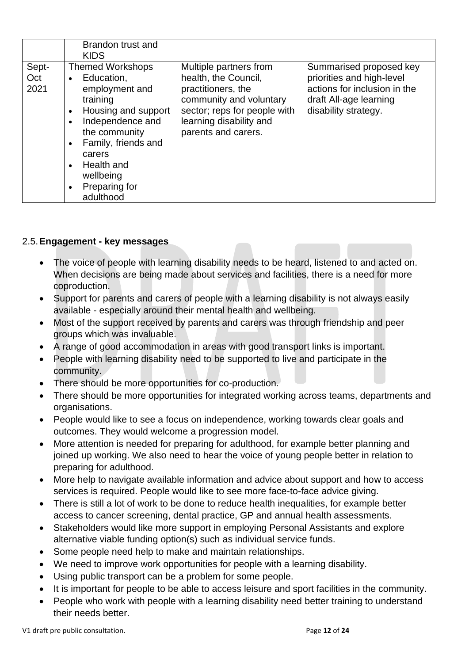|                      | Brandon trust and<br><b>KIDS</b>                                                                                                                                                                                                                    |                                                                                                                                                                                   |                                                                                                                                        |
|----------------------|-----------------------------------------------------------------------------------------------------------------------------------------------------------------------------------------------------------------------------------------------------|-----------------------------------------------------------------------------------------------------------------------------------------------------------------------------------|----------------------------------------------------------------------------------------------------------------------------------------|
| Sept-<br>Oct<br>2021 | <b>Themed Workshops</b><br>Education,<br>$\bullet$<br>employment and<br>training<br>Housing and support<br>Independence and<br>the community<br>Family, friends and<br>carers<br>Health and<br>$\bullet$<br>wellbeing<br>Preparing for<br>adulthood | Multiple partners from<br>health, the Council,<br>practitioners, the<br>community and voluntary<br>sector; reps for people with<br>learning disability and<br>parents and carers. | Summarised proposed key<br>priorities and high-level<br>actions for inclusion in the<br>draft All-age learning<br>disability strategy. |

## 2.5.**Engagement - key messages**

- The voice of people with learning disability needs to be heard, listened to and acted on. When decisions are being made about services and facilities, there is a need for more coproduction.
- Support for parents and carers of people with a learning disability is not always easily available - especially around their mental health and wellbeing.
- Most of the support received by parents and carers was through friendship and peer groups which was invaluable.
- A range of good accommodation in areas with good transport links is important.
- People with learning disability need to be supported to live and participate in the community.
- There should be more opportunities for co-production.
- There should be more opportunities for integrated working across teams, departments and organisations.
- People would like to see a focus on independence, working towards clear goals and outcomes. They would welcome a progression model.
- More attention is needed for preparing for adulthood, for example better planning and joined up working. We also need to hear the voice of young people better in relation to preparing for adulthood.
- More help to navigate available information and advice about support and how to access services is required. People would like to see more face-to-face advice giving.
- There is still a lot of work to be done to reduce health inequalities, for example better access to cancer screening, dental practice, GP and annual health assessments.
- Stakeholders would like more support in employing Personal Assistants and explore alternative viable funding option(s) such as individual service funds.
- Some people need help to make and maintain relationships.
- We need to improve work opportunities for people with a learning disability.
- Using public transport can be a problem for some people.
- It is important for people to be able to access leisure and sport facilities in the community.
- People who work with people with a learning disability need better training to understand their needs better.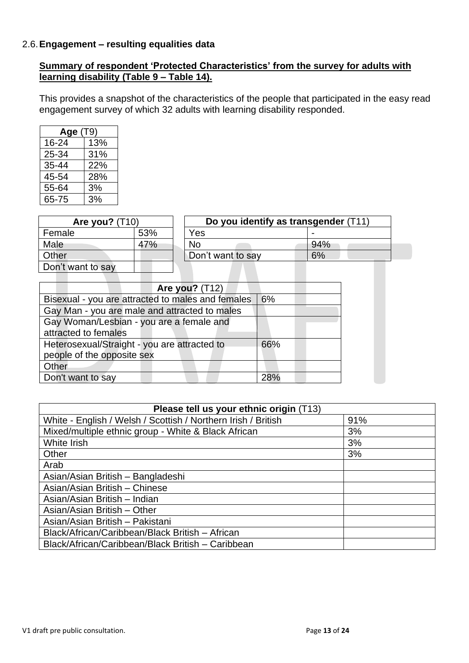#### 2.6.**Engagement – resulting equalities data**

# **Summary of respondent 'Protected Characteristics' from the survey for adults with learning disability (Table 9 – Table 14).**

This provides a snapshot of the characteristics of the people that participated in the easy read engagement survey of which 32 adults with learning disability responded.

| <b>Age (T9)</b> |            |  |  |
|-----------------|------------|--|--|
| 16-24           | 13%        |  |  |
| 25-34           | 31%        |  |  |
| 35-44           | <b>22%</b> |  |  |
| 45-54           | 28%        |  |  |
| 55-64           | 3%         |  |  |
| 65-75           | 3%         |  |  |

| <b>Are you?</b> (T10) |     |
|-----------------------|-----|
| Female                | 53% |
| Male                  | 47% |
| Other                 |     |
| Don't want to say     |     |

| Do you identify as transgender (T11) |     |  |  |
|--------------------------------------|-----|--|--|
| Yes                                  |     |  |  |
|                                      | 94% |  |  |
| Don't want to say                    |     |  |  |
|                                      |     |  |  |

| Are you? $(T12)$                                  |     |
|---------------------------------------------------|-----|
| Bisexual - you are attracted to males and females | 6%  |
| Gay Man - you are male and attracted to males     |     |
| Gay Woman/Lesbian - you are a female and          |     |
| attracted to females                              |     |
| Heterosexual/Straight - you are attracted to      | 66% |
| people of the opposite sex                        |     |
| Other                                             |     |
| Don't want to say                                 | 28% |

| Please tell us your ethnic origin (T13)                       |     |
|---------------------------------------------------------------|-----|
| White - English / Welsh / Scottish / Northern Irish / British | 91% |
| Mixed/multiple ethnic group - White & Black African           | 3%  |
| White Irish                                                   | 3%  |
| Other                                                         | 3%  |
| Arab                                                          |     |
| Asian/Asian British - Bangladeshi                             |     |
| Asian/Asian British - Chinese                                 |     |
| Asian/Asian British - Indian                                  |     |
| Asian/Asian British - Other                                   |     |
| Asian/Asian British - Pakistani                               |     |
| Black/African/Caribbean/Black British - African               |     |
| Black/African/Caribbean/Black British - Caribbean             |     |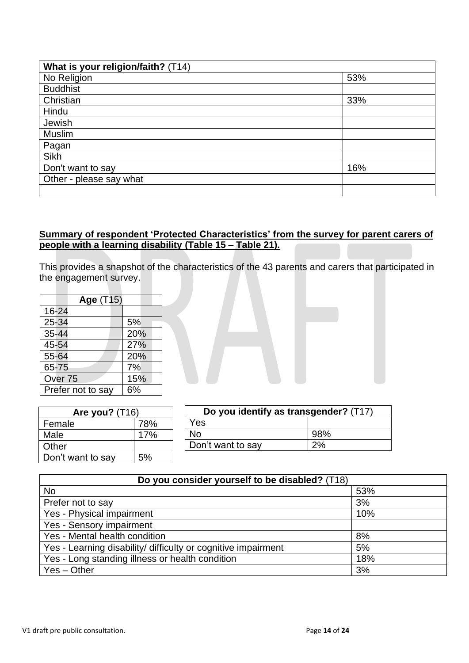| What is your religion/faith? (T14) |     |
|------------------------------------|-----|
| No Religion                        | 53% |
| <b>Buddhist</b>                    |     |
| Christian                          | 33% |
| Hindu                              |     |
| Jewish                             |     |
| <b>Muslim</b>                      |     |
| Pagan                              |     |
| Sikh                               |     |
| Don't want to say                  | 16% |
| Other - please say what            |     |
|                                    |     |

#### **Summary of respondent 'Protected Characteristics' from the survey for parent carers of people with a learning disability (Table 15 – Table 21).**

This provides a snapshot of the characteristics of the 43 parents and carers that participated in the engagement survey.

|       | Age (T15)          |     |  |
|-------|--------------------|-----|--|
|       | 16-24              |     |  |
| 25-34 |                    | 5%  |  |
| 35-44 |                    | 20% |  |
|       | 45-54              | 27% |  |
| 55-64 |                    | 20% |  |
|       | 65-75              | 7%  |  |
|       | Over <sub>75</sub> | 15% |  |
|       | Prefer not to say  | 6%  |  |

| <b>Are you?</b> (T16) |     |  |
|-----------------------|-----|--|
| Female                | 78% |  |
| Male                  | 17% |  |
| Other                 |     |  |
| Don't want to say     | .5% |  |

| Do you identify as transgender? (T17) |     |  |
|---------------------------------------|-----|--|
| Yes                                   |     |  |
| No                                    | 98% |  |
| Don't want to say                     | 2%  |  |

| Do you consider yourself to be disabled? (T18)                |     |
|---------------------------------------------------------------|-----|
| <b>No</b>                                                     | 53% |
| Prefer not to say                                             | 3%  |
| Yes - Physical impairment                                     | 10% |
| Yes - Sensory impairment                                      |     |
| Yes - Mental health condition                                 | 8%  |
| Yes - Learning disability/ difficulty or cognitive impairment | 5%  |
| Yes - Long standing illness or health condition               | 18% |
| $Yes - Other$                                                 | 3%  |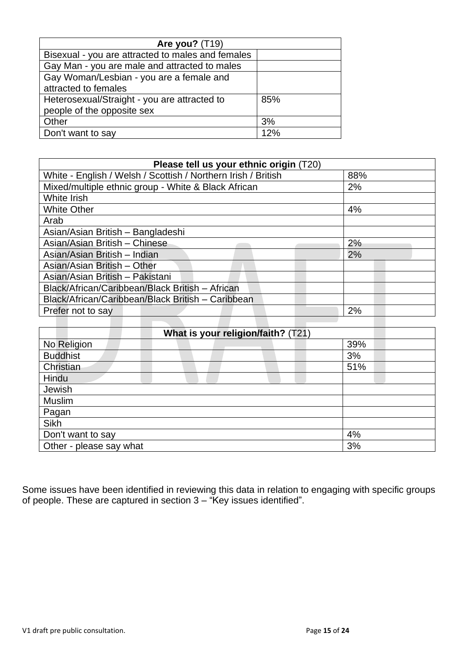| <b>Are you?</b> (T19)                             |     |
|---------------------------------------------------|-----|
| Bisexual - you are attracted to males and females |     |
| Gay Man - you are male and attracted to males     |     |
| Gay Woman/Lesbian - you are a female and          |     |
| attracted to females                              |     |
| Heterosexual/Straight - you are attracted to      | 85% |
| people of the opposite sex                        |     |
| Other                                             | 3%  |
| Don't want to say                                 | 12% |

| Please tell us your ethnic origin (T20)                       |     |
|---------------------------------------------------------------|-----|
| White - English / Welsh / Scottish / Northern Irish / British | 88% |
| Mixed/multiple ethnic group - White & Black African           | 2%  |
| White Irish                                                   |     |
| <b>White Other</b>                                            | 4%  |
| Arab                                                          |     |
| Asian/Asian British - Bangladeshi                             |     |
| Asian/Asian British - Chinese                                 | 2%  |
| Asian/Asian British - Indian                                  | 2%  |
| Asian/Asian British - Other                                   |     |
| Asian/Asian British - Pakistani                               |     |
| Black/African/Caribbean/Black British - African               |     |
| Black/African/Caribbean/Black British - Caribbean             |     |
| Prefer not to say                                             | 2%  |
|                                                               |     |

| What is your religion/faith? (T21) |     |
|------------------------------------|-----|
| No Religion                        | 39% |
| <b>Buddhist</b>                    | 3%  |
| Christian                          | 51% |
| Hindu                              |     |
| Jewish                             |     |
| Muslim                             |     |
| Pagan                              |     |
| Sikh                               |     |
| Don't want to say                  | 4%  |
| Other - please say what            | 3%  |

Some issues have been identified in reviewing this data in relation to engaging with specific groups of people. These are captured in section 3 – "Key issues identified".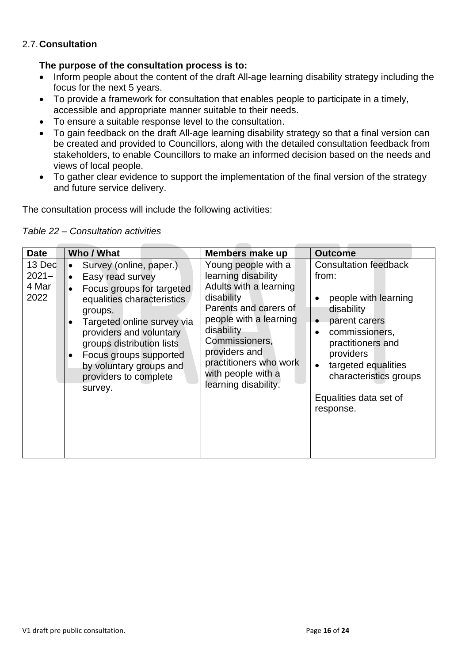# 2.7.**Consultation**

## **The purpose of the consultation process is to:**

- Inform people about the content of the draft All-age learning disability strategy including the focus for the next 5 years.
- To provide a framework for consultation that enables people to participate in a timely, accessible and appropriate manner suitable to their needs.
- To ensure a suitable response level to the consultation.
- To gain feedback on the draft All-age learning disability strategy so that a final version can be created and provided to Councillors, along with the detailed consultation feedback from stakeholders, to enable Councillors to make an informed decision based on the needs and views of local people.
- To gather clear evidence to support the implementation of the final version of the strategy and future service delivery.

The consultation process will include the following activities:

*Table 22 – Consultation activities*

| <b>Date</b>                         | Who / What                                                                                                                                                                                                                                                                                       | Members make up                                                                                                                                                                                                                                                | <b>Outcome</b>                                                                                                                                                                                                                           |
|-------------------------------------|--------------------------------------------------------------------------------------------------------------------------------------------------------------------------------------------------------------------------------------------------------------------------------------------------|----------------------------------------------------------------------------------------------------------------------------------------------------------------------------------------------------------------------------------------------------------------|------------------------------------------------------------------------------------------------------------------------------------------------------------------------------------------------------------------------------------------|
| 13 Dec<br>$2021 -$<br>4 Mar<br>2022 | Survey (online, paper.)<br>Easy read survey<br>Focus groups for targeted<br>equalities characteristics<br>groups.<br>Targeted online survey via<br>providers and voluntary<br>groups distribution lists<br>Focus groups supported<br>by voluntary groups and<br>providers to complete<br>survey. | Young people with a<br>learning disability<br>Adults with a learning<br>disability<br>Parents and carers of<br>people with a learning<br>disability<br>Commissioners,<br>providers and<br>practitioners who work<br>with people with a<br>learning disability. | <b>Consultation feedback</b><br>from:<br>people with learning<br>disability<br>parent carers<br>commissioners,<br>practitioners and<br>providers<br>targeted equalities<br>characteristics groups<br>Equalities data set of<br>response. |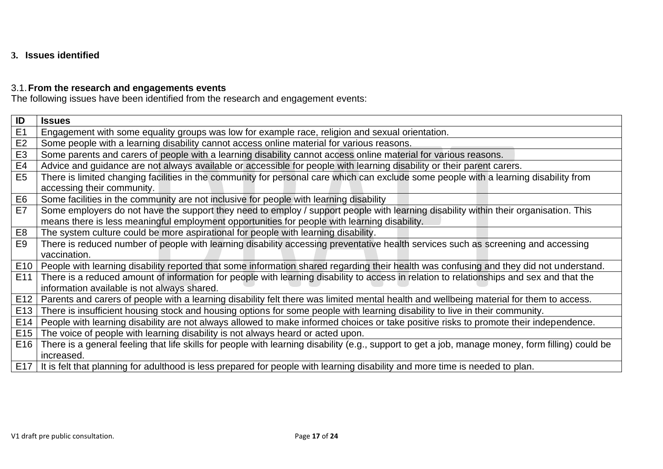#### **3. Issues identified**

#### 3.1.**From the research and engagements events**

The following issues have been identified from the research and engagement events:

| ID              | <b>Issues</b>                                                                                                                                     |
|-----------------|---------------------------------------------------------------------------------------------------------------------------------------------------|
| E1              | Engagement with some equality groups was low for example race, religion and sexual orientation.                                                   |
| E2              | Some people with a learning disability cannot access online material for various reasons.                                                         |
| E <sub>3</sub>  | Some parents and carers of people with a learning disability cannot access online material for various reasons.                                   |
| E4              | Advice and guidance are not always available or accessible for people with learning disability or their parent carers.                            |
| E <sub>5</sub>  | There is limited changing facilities in the community for personal care which can exclude some people with a learning disability from             |
|                 | accessing their community.                                                                                                                        |
| E <sub>6</sub>  | Some facilities in the community are not inclusive for people with learning disability                                                            |
| E7              | Some employers do not have the support they need to employ / support people with learning disability within their organisation. This              |
|                 | means there is less meaningful employment opportunities for people with learning disability.                                                      |
| E <sub>8</sub>  | The system culture could be more aspirational for people with learning disability.                                                                |
| E9              | There is reduced number of people with learning disability accessing preventative health services such as screening and accessing                 |
|                 | vaccination.                                                                                                                                      |
| E10             | People with learning disability reported that some information shared regarding their health was confusing and they did not understand.           |
| E <sub>11</sub> | There is a reduced amount of information for people with learning disability to access in relation to relationships and sex and that the          |
|                 | information available is not always shared.                                                                                                       |
| E12             | Parents and carers of people with a learning disability felt there was limited mental health and wellbeing material for them to access.           |
| E <sub>13</sub> | There is insufficient housing stock and housing options for some people with learning disability to live in their community.                      |
| E14             | People with learning disability are not always allowed to make informed choices or take positive risks to promote their independence.             |
| E <sub>15</sub> | The voice of people with learning disability is not always heard or acted upon.                                                                   |
| E16             | There is a general feeling that life skills for people with learning disability (e.g., support to get a job, manage money, form filling) could be |
|                 | increased.                                                                                                                                        |
| E <sub>17</sub> | It is felt that planning for adulthood is less prepared for people with learning disability and more time is needed to plan.                      |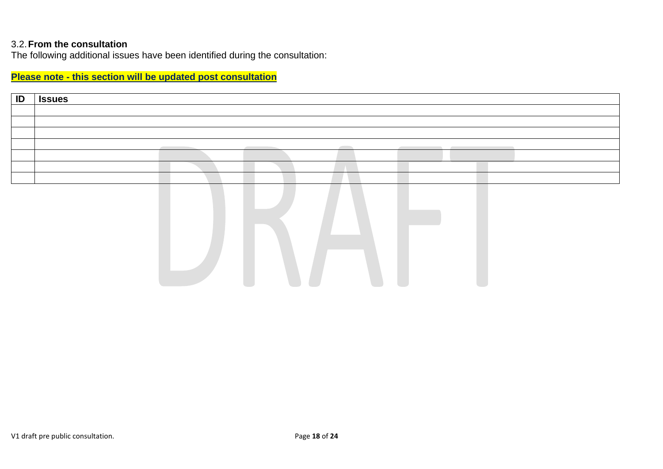#### 3.2.**From the consultation**

The following additional issues have been identified during the consultation:

# **Please note - this section will be updated post consultation**

| ID | <b>Issues</b> |
|----|---------------|
|    |               |
|    |               |
|    |               |
|    |               |
|    |               |
|    |               |
|    |               |

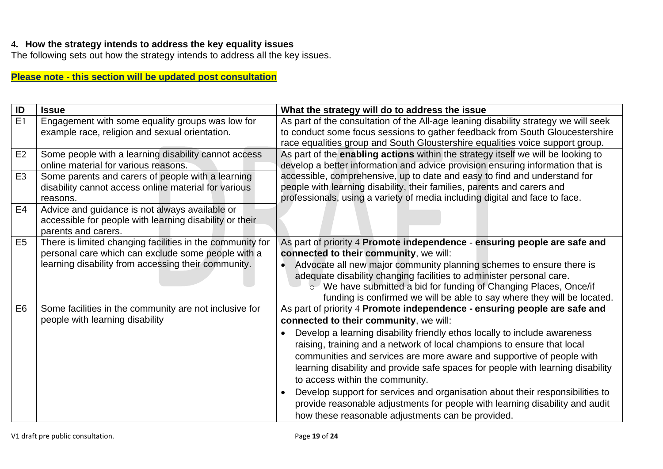#### **4. How the strategy intends to address the key equality issues**

The following sets out how the strategy intends to address all the key issues.

# **Please note - this section will be updated post consultation**

| ID             | <b>Issue</b>                                                                                                                                                           | What the strategy will do to address the issue                                                                                                                                                                                                                                                                                                                                                                                                                                                                                                                                                                                                                                                   |
|----------------|------------------------------------------------------------------------------------------------------------------------------------------------------------------------|--------------------------------------------------------------------------------------------------------------------------------------------------------------------------------------------------------------------------------------------------------------------------------------------------------------------------------------------------------------------------------------------------------------------------------------------------------------------------------------------------------------------------------------------------------------------------------------------------------------------------------------------------------------------------------------------------|
| E1             | Engagement with some equality groups was low for<br>example race, religion and sexual orientation.                                                                     | As part of the consultation of the All-age leaning disability strategy we will seek<br>to conduct some focus sessions to gather feedback from South Gloucestershire<br>race equalities group and South Gloustershire equalities voice support group.                                                                                                                                                                                                                                                                                                                                                                                                                                             |
| E2             | Some people with a learning disability cannot access<br>online material for various reasons.                                                                           | As part of the enabling actions within the strategy itself we will be looking to<br>develop a better information and advice provision ensuring information that is                                                                                                                                                                                                                                                                                                                                                                                                                                                                                                                               |
| E <sub>3</sub> | Some parents and carers of people with a learning<br>disability cannot access online material for various<br>reasons.                                                  | accessible, comprehensive, up to date and easy to find and understand for<br>people with learning disability, their families, parents and carers and<br>professionals, using a variety of media including digital and face to face.                                                                                                                                                                                                                                                                                                                                                                                                                                                              |
| E <sub>4</sub> | Advice and guidance is not always available or<br>accessible for people with learning disability or their<br>parents and carers.                                       |                                                                                                                                                                                                                                                                                                                                                                                                                                                                                                                                                                                                                                                                                                  |
| E <sub>5</sub> | There is limited changing facilities in the community for<br>personal care which can exclude some people with a<br>learning disability from accessing their community. | As part of priority 4 Promote independence - ensuring people are safe and<br>connected to their community, we will:<br>Advocate all new major community planning schemes to ensure there is<br>adequate disability changing facilities to administer personal care.<br>We have submitted a bid for funding of Changing Places, Once/if<br>$\circ$<br>funding is confirmed we will be able to say where they will be located.                                                                                                                                                                                                                                                                     |
| E <sub>6</sub> | Some facilities in the community are not inclusive for<br>people with learning disability                                                                              | As part of priority 4 Promote independence - ensuring people are safe and<br>connected to their community, we will:<br>Develop a learning disability friendly ethos locally to include awareness<br>raising, training and a network of local champions to ensure that local<br>communities and services are more aware and supportive of people with<br>learning disability and provide safe spaces for people with learning disability<br>to access within the community.<br>Develop support for services and organisation about their responsibilities to<br>provide reasonable adjustments for people with learning disability and audit<br>how these reasonable adjustments can be provided. |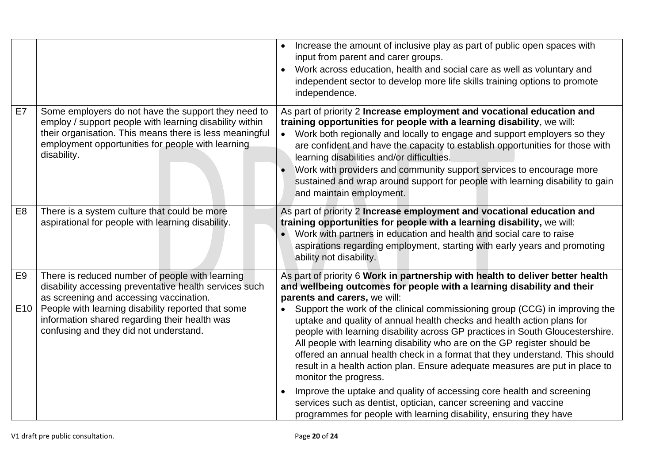|                 |                                                                                                                                                                                                                                               | Increase the amount of inclusive play as part of public open spaces with<br>input from parent and carer groups.<br>Work across education, health and social care as well as voluntary and<br>$\bullet$<br>independent sector to develop more life skills training options to promote<br>independence.                                                                                                                                                                                                                                            |
|-----------------|-----------------------------------------------------------------------------------------------------------------------------------------------------------------------------------------------------------------------------------------------|--------------------------------------------------------------------------------------------------------------------------------------------------------------------------------------------------------------------------------------------------------------------------------------------------------------------------------------------------------------------------------------------------------------------------------------------------------------------------------------------------------------------------------------------------|
| E7              | Some employers do not have the support they need to<br>employ / support people with learning disability within<br>their organisation. This means there is less meaningful<br>employment opportunities for people with learning<br>disability. | As part of priority 2 Increase employment and vocational education and<br>training opportunities for people with a learning disability, we will:<br>Work both regionally and locally to engage and support employers so they<br>are confident and have the capacity to establish opportunities for those with<br>learning disabilities and/or difficulties.<br>Work with providers and community support services to encourage more<br>sustained and wrap around support for people with learning disability to gain<br>and maintain employment. |
| E <sub>8</sub>  | There is a system culture that could be more<br>aspirational for people with learning disability.                                                                                                                                             | As part of priority 2 Increase employment and vocational education and<br>training opportunities for people with a learning disability, we will:<br>Work with partners in education and health and social care to raise<br>aspirations regarding employment, starting with early years and promoting<br>ability not disability.                                                                                                                                                                                                                  |
| E9              | There is reduced number of people with learning<br>disability accessing preventative health services such<br>as screening and accessing vaccination.                                                                                          | As part of priority 6 Work in partnership with health to deliver better health<br>and wellbeing outcomes for people with a learning disability and their<br>parents and carers, we will:                                                                                                                                                                                                                                                                                                                                                         |
| E <sub>10</sub> | People with learning disability reported that some<br>information shared regarding their health was<br>confusing and they did not understand.                                                                                                 | Support the work of the clinical commissioning group (CCG) in improving the<br>uptake and quality of annual health checks and health action plans for<br>people with learning disability across GP practices in South Gloucestershire.<br>All people with learning disability who are on the GP register should be<br>offered an annual health check in a format that they understand. This should<br>result in a health action plan. Ensure adequate measures are put in place to<br>monitor the progress.                                      |
|                 |                                                                                                                                                                                                                                               | Improve the uptake and quality of accessing core health and screening<br>services such as dentist, optician, cancer screening and vaccine<br>programmes for people with learning disability, ensuring they have                                                                                                                                                                                                                                                                                                                                  |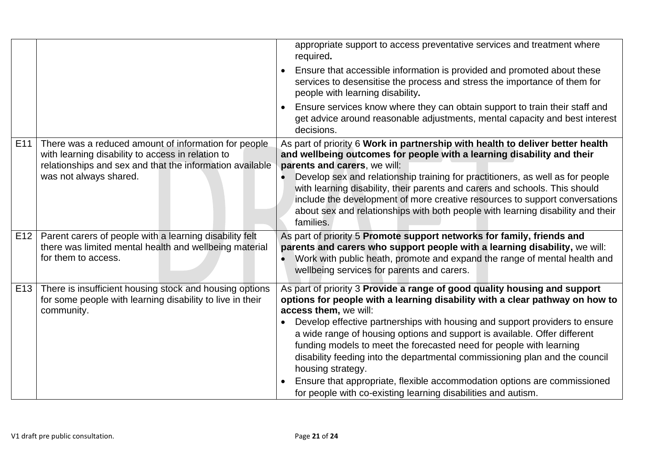|                 |                                                                                                                                                                                                 | appropriate support to access preventative services and treatment where<br>required.                                                                                                                                                                                                                                                                                                                                                                                                                                                                                                                                                                                   |
|-----------------|-------------------------------------------------------------------------------------------------------------------------------------------------------------------------------------------------|------------------------------------------------------------------------------------------------------------------------------------------------------------------------------------------------------------------------------------------------------------------------------------------------------------------------------------------------------------------------------------------------------------------------------------------------------------------------------------------------------------------------------------------------------------------------------------------------------------------------------------------------------------------------|
|                 |                                                                                                                                                                                                 | Ensure that accessible information is provided and promoted about these<br>services to desensitise the process and stress the importance of them for<br>people with learning disability.                                                                                                                                                                                                                                                                                                                                                                                                                                                                               |
|                 |                                                                                                                                                                                                 | Ensure services know where they can obtain support to train their staff and<br>get advice around reasonable adjustments, mental capacity and best interest<br>decisions.                                                                                                                                                                                                                                                                                                                                                                                                                                                                                               |
| E11             | There was a reduced amount of information for people<br>with learning disability to access in relation to<br>relationships and sex and that the information available<br>was not always shared. | As part of priority 6 Work in partnership with health to deliver better health<br>and wellbeing outcomes for people with a learning disability and their<br>parents and carers, we will:<br>Develop sex and relationship training for practitioners, as well as for people<br>with learning disability, their parents and carers and schools. This should<br>include the development of more creative resources to support conversations<br>about sex and relationships with both people with learning disability and their<br>families.                                                                                                                               |
| E <sub>12</sub> | Parent carers of people with a learning disability felt<br>there was limited mental health and wellbeing material<br>for them to access.                                                        | As part of priority 5 Promote support networks for family, friends and<br>parents and carers who support people with a learning disability, we will:<br>Work with public heath, promote and expand the range of mental health and<br>wellbeing services for parents and carers.                                                                                                                                                                                                                                                                                                                                                                                        |
| E <sub>13</sub> | There is insufficient housing stock and housing options<br>for some people with learning disability to live in their<br>community.                                                              | As part of priority 3 Provide a range of good quality housing and support<br>options for people with a learning disability with a clear pathway on how to<br>access them, we will:<br>Develop effective partnerships with housing and support providers to ensure<br>a wide range of housing options and support is available. Offer different<br>funding models to meet the forecasted need for people with learning<br>disability feeding into the departmental commissioning plan and the council<br>housing strategy.<br>Ensure that appropriate, flexible accommodation options are commissioned<br>for people with co-existing learning disabilities and autism. |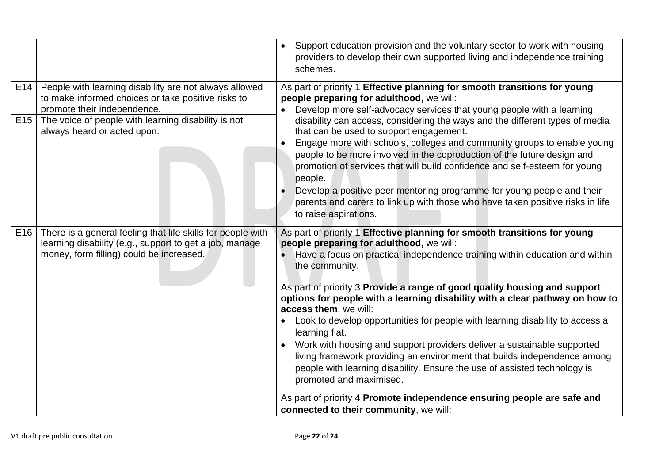|                        |                                                                                                                                                                                                                                   | Support education provision and the voluntary sector to work with housing<br>providers to develop their own supported living and independence training<br>schemes.                                                                                                                                                                                                                                                                                                                                                                                                                                                                                                                                                                                                                                                                                                                                  |
|------------------------|-----------------------------------------------------------------------------------------------------------------------------------------------------------------------------------------------------------------------------------|-----------------------------------------------------------------------------------------------------------------------------------------------------------------------------------------------------------------------------------------------------------------------------------------------------------------------------------------------------------------------------------------------------------------------------------------------------------------------------------------------------------------------------------------------------------------------------------------------------------------------------------------------------------------------------------------------------------------------------------------------------------------------------------------------------------------------------------------------------------------------------------------------------|
| E14<br>E <sub>15</sub> | People with learning disability are not always allowed<br>to make informed choices or take positive risks to<br>promote their independence.<br>The voice of people with learning disability is not<br>always heard or acted upon. | As part of priority 1 Effective planning for smooth transitions for young<br>people preparing for adulthood, we will:<br>Develop more self-advocacy services that young people with a learning<br>disability can access, considering the ways and the different types of media<br>that can be used to support engagement.<br>Engage more with schools, colleges and community groups to enable young<br>people to be more involved in the coproduction of the future design and<br>promotion of services that will build confidence and self-esteem for young<br>people.<br>Develop a positive peer mentoring programme for young people and their<br>parents and carers to link up with those who have taken positive risks in life<br>to raise aspirations.                                                                                                                                       |
| E16                    | There is a general feeling that life skills for people with<br>learning disability (e.g., support to get a job, manage<br>money, form filling) could be increased.                                                                | As part of priority 1 Effective planning for smooth transitions for young<br>people preparing for adulthood, we will:<br>Have a focus on practical independence training within education and within<br>the community.<br>As part of priority 3 Provide a range of good quality housing and support<br>options for people with a learning disability with a clear pathway on how to<br>access them, we will:<br>Look to develop opportunities for people with learning disability to access a<br>learning flat.<br>Work with housing and support providers deliver a sustainable supported<br>living framework providing an environment that builds independence among<br>people with learning disability. Ensure the use of assisted technology is<br>promoted and maximised.<br>As part of priority 4 Promote independence ensuring people are safe and<br>connected to their community, we will: |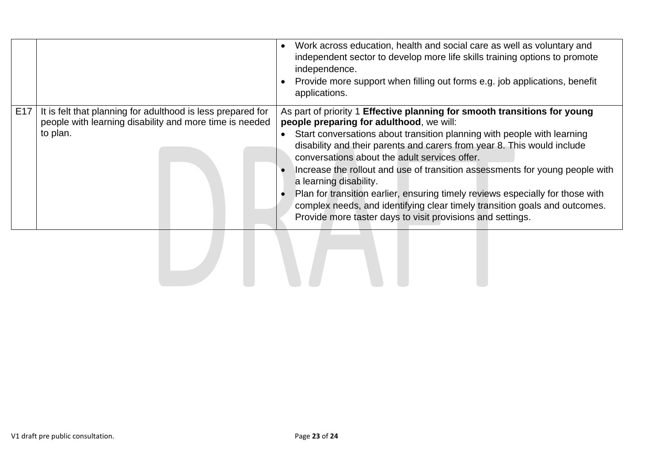|     |                                                                                                                                    | Work across education, health and social care as well as voluntary and<br>independent sector to develop more life skills training options to promote<br>independence.<br>Provide more support when filling out forms e.g. job applications, benefit<br>applications.                                                                                                                                                                                                                                                                                                                                                                                                 |
|-----|------------------------------------------------------------------------------------------------------------------------------------|----------------------------------------------------------------------------------------------------------------------------------------------------------------------------------------------------------------------------------------------------------------------------------------------------------------------------------------------------------------------------------------------------------------------------------------------------------------------------------------------------------------------------------------------------------------------------------------------------------------------------------------------------------------------|
| E17 | It is felt that planning for adulthood is less prepared for<br>people with learning disability and more time is needed<br>to plan. | As part of priority 1 Effective planning for smooth transitions for young<br>people preparing for adulthood, we will:<br>Start conversations about transition planning with people with learning<br>disability and their parents and carers from year 8. This would include<br>conversations about the adult services offer.<br>Increase the rollout and use of transition assessments for young people with<br>a learning disability.<br>Plan for transition earlier, ensuring timely reviews especially for those with<br>complex needs, and identifying clear timely transition goals and outcomes.<br>Provide more taster days to visit provisions and settings. |
|     |                                                                                                                                    |                                                                                                                                                                                                                                                                                                                                                                                                                                                                                                                                                                                                                                                                      |